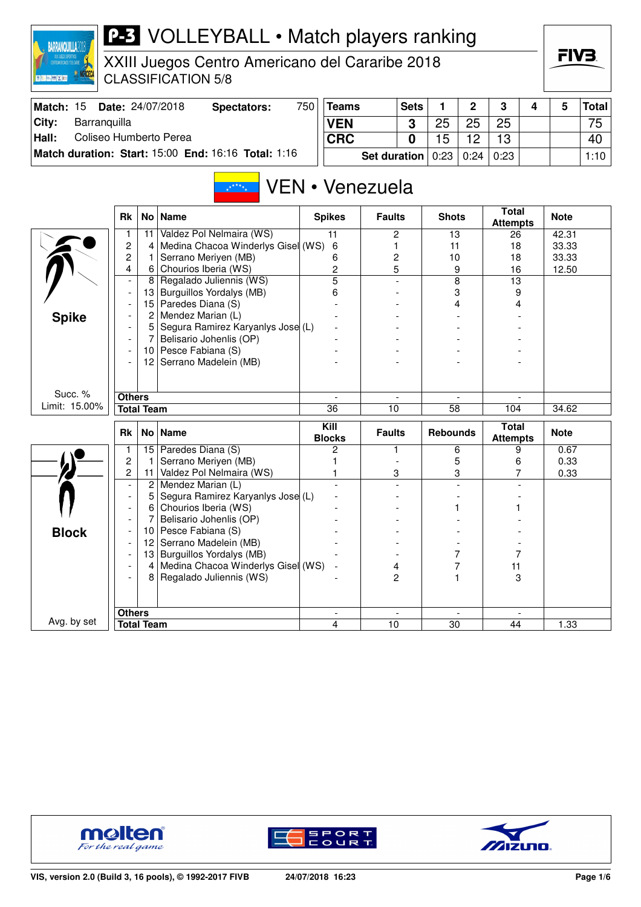

XXIII Juegos Centro Americano del Cararibe 2018 CLASSIFICATION 5/8

| Match: 15 | <b>Date: 24/07/2018</b>                             | Spectators: | 750 | <b>Teams</b>                      | <b>Sets</b> |    |    | <b>C</b> |  | <b>Total</b>    |
|-----------|-----------------------------------------------------|-------------|-----|-----------------------------------|-------------|----|----|----------|--|-----------------|
| City:     | Barranquilla                                        |             |     | <b>VEN</b>                        | ર           | 25 | 25 | 25       |  | 75 <sub>1</sub> |
| Hall:     | Coliseo Humberto Perea                              |             |     | <b>CRC</b>                        |             | 5  |    | 13       |  | 40              |
|           | Match duration: Start: 15:00 End: 16:16 Total: 1:16 |             |     | Set duration   0:23   0:24   0:23 |             |    |    |          |  | 1:10            |

## VEN • Venezuela  $\frac{1}{2}x^{\frac{1}{2}+\frac{1}{2}}x^{\frac{1}{2}}$

|               | <b>Rk</b>                |                   | No   Name                            | <b>Spikes</b>         | <b>Faults</b>            | <b>Shots</b>         | <b>Total</b><br><b>Attempts</b> | <b>Note</b> |
|---------------|--------------------------|-------------------|--------------------------------------|-----------------------|--------------------------|----------------------|---------------------------------|-------------|
|               | 1                        | 11                | Valdez Pol Nelmaira (WS)             | 11                    | 2                        | 13                   | 26                              | 42.31       |
|               | $\overline{c}$           | 4                 | Medina Chacoa Winderlys Gisel (WS)   | 6                     | 1                        | 11                   | 18                              | 33.33       |
|               | $\overline{c}$           | 1                 | Serrano Meriyen (MB)                 | 6                     | $\overline{c}$           | 10                   | 18                              | 33.33       |
|               | 4                        | 6                 | Chourios Iberia (WS)                 | $\overline{c}$        | 5                        | 9                    | 16                              | 12.50       |
|               | $\overline{\phantom{a}}$ | 8                 | Regalado Juliennis (WS)              | $\overline{5}$        |                          | $\overline{8}$       | 13                              |             |
|               |                          | 13                | Burguillos Yordalys (MB)             | 6                     |                          | 3                    | 9                               |             |
|               |                          | 15                | Paredes Diana (S)                    |                       |                          | 4                    | 4                               |             |
| <b>Spike</b>  |                          | 2                 | Mendez Marian (L)                    |                       |                          |                      |                                 |             |
|               |                          | 5                 | Segura Ramirez Karyanlys Jose (L)    |                       |                          |                      |                                 |             |
|               |                          | 7                 | Belisario Johenlis (OP)              |                       |                          |                      |                                 |             |
|               |                          | 10 <sup>1</sup>   | Pesce Fabiana (S)                    |                       |                          |                      |                                 |             |
|               |                          | 12 <sup>2</sup>   | Serrano Madelein (MB)                |                       |                          |                      |                                 |             |
|               |                          |                   |                                      |                       |                          |                      |                                 |             |
|               |                          |                   |                                      |                       |                          |                      |                                 |             |
| Succ. %       | <b>Others</b>            |                   |                                      |                       | $\overline{\phantom{a}}$ |                      |                                 |             |
| Limit: 15.00% |                          | <b>Total Team</b> |                                      | 36                    | 10                       | $\overline{58}$      | 104                             | 34.62       |
|               |                          |                   |                                      |                       |                          |                      |                                 |             |
|               | <b>Rk</b>                |                   | No Name                              | Kill<br><b>Blocks</b> | <b>Faults</b>            | <b>Rebounds</b>      | <b>Total</b><br><b>Attempts</b> | <b>Note</b> |
|               | 1                        |                   | 15 Paredes Diana (S)                 | 2                     | 1                        | 6                    | 9                               | 0.67        |
|               | $\overline{c}$           | 1                 | Serrano Meriyen (MB)                 |                       |                          | 5                    | 6                               | 0.33        |
|               | $\overline{c}$           | 11                | Valdez Pol Nelmaira (WS)             |                       | 3                        | 3                    | 7                               | 0.33        |
|               | $\overline{a}$           |                   | 2   Mendez Marian (L)                |                       |                          |                      |                                 |             |
|               | $\blacksquare$           | 5                 | Segura Ramirez Karyanlys Jose (L)    |                       |                          |                      |                                 |             |
|               |                          | 6                 | Chourios Iberia (WS)                 |                       |                          |                      |                                 |             |
|               |                          | 7                 | Belisario Johenlis (OP)              |                       |                          |                      |                                 |             |
|               | $\overline{\phantom{a}}$ | 10                | Pesce Fabiana (S)                    |                       |                          |                      |                                 |             |
| <b>Block</b>  |                          | 12                | Serrano Madelein (MB)                |                       |                          |                      |                                 |             |
|               |                          | 13                | Burguillos Yordalys (MB)             |                       |                          | 7                    | 7                               |             |
|               |                          |                   | 4 Medina Chacoa Winderlys Gisel (WS) |                       | 4                        | 7                    | 11                              |             |
|               |                          | 8                 | Regalado Juliennis (WS)              |                       | $\overline{c}$           |                      | 3                               |             |
|               |                          |                   |                                      |                       |                          |                      |                                 |             |
|               |                          |                   |                                      |                       |                          |                      |                                 |             |
| Avg. by set   | <b>Others</b>            | <b>Total Team</b> |                                      | $\sim$<br>4           | $\overline{a}$<br>10     | $\overline{a}$<br>30 | $\sim$<br>44                    | 1.33        |





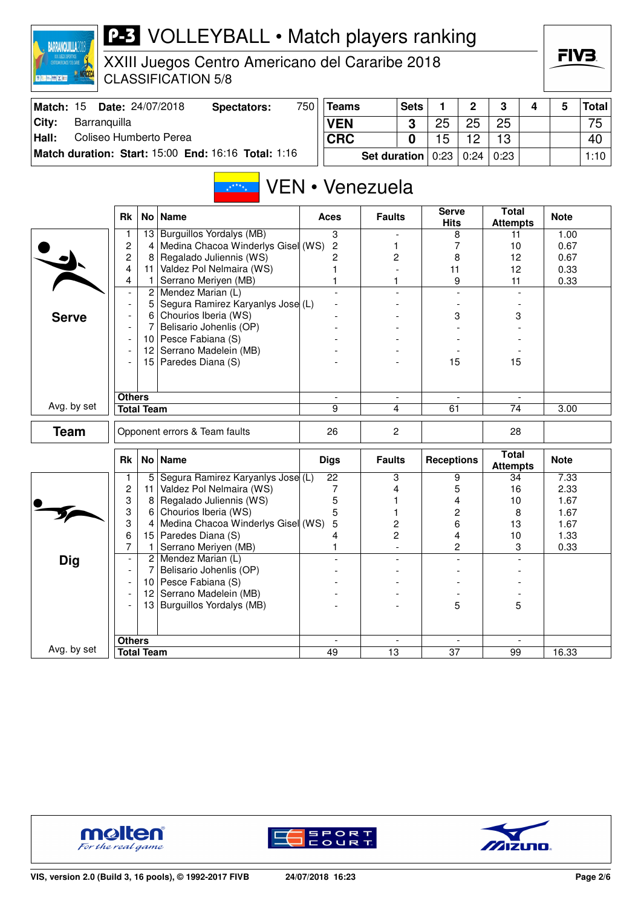| CENTRONERCANS FOR CARE<br><b>夏<del>阳回</del> 图 X 图</b> |                          |                   | XXIII Juegos Centro Americano del Cararibe 2018<br><b>CLASSIFICATION 5/8</b> |            |                 |                     |              |                   |             |                                 |   | ГІУӘ        |              |
|-------------------------------------------------------|--------------------------|-------------------|------------------------------------------------------------------------------|------------|-----------------|---------------------|--------------|-------------------|-------------|---------------------------------|---|-------------|--------------|
| Match: 15                                             |                          |                   | Date: 24/07/2018<br><b>Spectators:</b>                                       | 750        | <b>Teams</b>    |                     | <b>Sets</b>  | 1.                | $\mathbf 2$ | 3                               | 4 | 5           | <b>Total</b> |
| City:<br>Barranquilla                                 |                          |                   |                                                                              | <b>VEN</b> |                 |                     | 3            | 25                | 25          | 25                              |   |             | 75           |
| Hall:<br>Coliseo Humberto Perea                       |                          |                   |                                                                              | <b>CRC</b> |                 |                     | $\mathbf{0}$ | 15                | 12          | 13                              |   |             | 40           |
|                                                       |                          |                   | Match duration: Start: 15:00 End: 16:16 Total: 1:16                          |            |                 | <b>Set duration</b> |              | 0:23              | 0:24        | 0:23                            |   |             | 1:10         |
|                                                       |                          |                   | VEN • Venezuela<br>$\mathbf{x}^{*^{\star\star\star}\star}$                   |            |                 |                     |              | <b>Serve</b>      |             | <b>Total</b>                    |   |             |              |
|                                                       | Rk                       |                   | No   Name                                                                    |            | Aces            | <b>Faults</b>       |              | <b>Hits</b>       |             | <b>Attempts</b>                 |   | <b>Note</b> |              |
|                                                       | 1                        | 13                | <b>Burguillos Yordalys (MB)</b>                                              |            | 3               |                     |              |                   | 8           | 11                              |   | 1.00        |              |
|                                                       | $\overline{\mathbf{c}}$  | 4                 | Medina Chacoa Winderlys Gisel (WS)                                           |            | 2               | 1                   |              |                   | 7           | 10                              |   | 0.67        |              |
|                                                       | $\overline{c}$           | 8                 | Regalado Juliennis (WS)                                                      |            | 2               | 2                   |              | 8                 |             | 12                              |   | 0.67        |              |
|                                                       | 4                        | 11 <sup>1</sup>   | Valdez Pol Nelmaira (WS)                                                     |            | 1               |                     |              | 11                |             | 12<br>11                        |   | 0.33        |              |
|                                                       | 4                        | 1                 | Serrano Meriyen (MB)                                                         |            | 1               | 1                   |              |                   | 9           |                                 |   | 0.33        |              |
|                                                       |                          | 2                 | Mendez Marian (L)                                                            |            |                 |                     |              |                   |             |                                 |   |             |              |
|                                                       | $\overline{\phantom{a}}$ | 5<br>6            | Segura Ramirez Karyanlys Jose (L)<br>Chourios Iberia (WS)                    |            |                 |                     |              | 3                 |             |                                 |   |             |              |
| <b>Serve</b>                                          |                          | 7                 |                                                                              |            |                 |                     |              |                   |             | 3                               |   |             |              |
|                                                       | $\overline{\phantom{a}}$ | 10 <sup>1</sup>   | Belisario Johenlis (OP)<br>Pesce Fabiana (S)                                 |            |                 |                     |              |                   |             |                                 |   |             |              |
|                                                       | $\overline{\phantom{a}}$ | 12 <sup>2</sup>   | Serrano Madelein (MB)                                                        |            |                 |                     |              |                   |             |                                 |   |             |              |
|                                                       | $\overline{\phantom{a}}$ |                   | Paredes Diana (S)                                                            |            |                 |                     |              |                   |             |                                 |   |             |              |
|                                                       |                          | 15                |                                                                              |            |                 |                     |              | 15                |             | 15                              |   |             |              |
|                                                       | <b>Others</b>            |                   |                                                                              |            |                 |                     |              |                   |             |                                 |   |             |              |
| Avg. by set                                           |                          | <b>Total Team</b> |                                                                              |            | 9               |                     | 4<br>61      |                   |             | 74                              |   | 3.00        |              |
| <b>Team</b>                                           |                          |                   | Opponent errors & Team faults                                                |            | 26              | $\overline{2}$      |              |                   |             | 28                              |   |             |              |
|                                                       | <b>Rk</b>                |                   | No   Name                                                                    |            | <b>Digs</b>     | <b>Faults</b>       |              | <b>Receptions</b> |             | <b>Total</b><br><b>Attempts</b> |   | <b>Note</b> |              |
|                                                       | 1                        | 5                 | Segura Ramirez Karyanlys Jose (L)                                            |            | $\overline{22}$ | 3                   |              |                   | 9           | 34                              |   | 7.33        |              |
|                                                       | $\overline{\mathbf{c}}$  | 11                | Valdez Pol Nelmaira (WS)                                                     |            | 7               | 4                   |              |                   | 5           | 16                              |   | 2.33        |              |
|                                                       | 3                        | 8                 | Regalado Juliennis (WS)                                                      |            | 5               |                     |              |                   | 4           | 10                              |   | 1.67        |              |
|                                                       | 3                        | 6                 | Chourios Iberia (WS)                                                         |            | 5               |                     |              |                   | 2           | 8                               |   | 1.67        |              |
|                                                       | 3<br>6                   | 4                 | Medina Chacoa Winderlys Gisel (WS)                                           |            | 5<br>4          | 2<br>$\overline{c}$ |              |                   | 6<br>4      | 13                              |   | 1.67        |              |
|                                                       | 7                        |                   | 15 Paredes Diana (S)                                                         |            |                 |                     |              |                   |             | 10                              |   | 1.33        |              |
|                                                       |                          | $\overline{2}$    | Serrano Meriyen (MB)<br>Mendez Marian (L)                                    |            | 1               |                     |              |                   | 2           | 3                               |   | 0.33        |              |
| <b>Dig</b>                                            |                          | 7                 | Belisario Johenlis (OP)                                                      |            |                 |                     |              |                   |             |                                 |   |             |              |
|                                                       | $\overline{\phantom{a}}$ | 10 <sup>1</sup>   | Pesce Fabiana (S)                                                            |            |                 |                     |              |                   |             |                                 |   |             |              |
|                                                       | $\overline{\phantom{a}}$ | 12                | Serrano Madelein (MB)                                                        |            |                 |                     |              |                   |             |                                 |   |             |              |
|                                                       |                          |                   | 13 Burguillos Yordalys (MB)                                                  |            |                 |                     |              |                   | 5           | 5                               |   |             |              |
|                                                       |                          |                   |                                                                              |            |                 |                     |              |                   |             |                                 |   |             |              |
|                                                       | <b>Others</b>            |                   |                                                                              |            |                 |                     |              |                   |             |                                 |   |             |              |
| Avg. by set                                           |                          | <b>Total Team</b> |                                                                              |            | 49              | $\overline{13}$     |              | $\overline{37}$   |             | 99                              |   | 16.33       |              |
|                                                       |                          |                   |                                                                              |            |                 |                     |              |                   |             |                                 |   |             |              |



**BARRANQUILLA2018** 





 $=IV$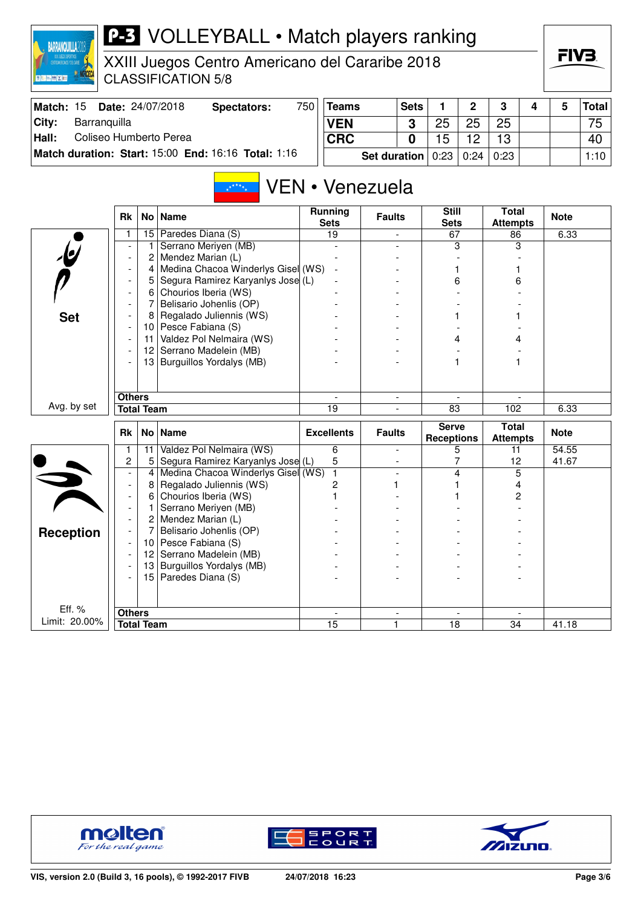

XXIII Juegos Centro Americano del Cararibe 2018 CLASSIFICATION 5/8

| Match: 15 | <b>Date: 24/07/2018</b>                             | Spectators: | 750 | Teams                                      | <b>Sets</b> |    | C  | 2    |  | <b>Total</b> |
|-----------|-----------------------------------------------------|-------------|-----|--------------------------------------------|-------------|----|----|------|--|--------------|
| City:     | Barranquilla                                        |             |     | <b>VEN</b>                                 |             | 25 | 25 | 25   |  | 75           |
| Hall:     | Coliseo Humberto Perea                              |             |     | <b>CRC</b>                                 |             | 15 | 10 | 13   |  | 40           |
|           | Match duration: Start: 15:00 End: 16:16 Total: 1:16 |             |     | Set duration $\vert 0:23 \vert 0:24 \vert$ |             |    |    | 0:23 |  | 1:10         |

## VEN • Venezuela  $\frac{1}{2}x^{\frac{1}{2}+\frac{1}{2}}x^{\frac{1}{2}}$

|                         | <b>Rk</b>                          |                   | No   Name                          | <b>Running</b><br><b>Sets</b> | <b>Faults</b>                 | <b>Still</b><br><b>Sets</b>       | <b>Total</b><br><b>Attempts</b> | <b>Note</b> |
|-------------------------|------------------------------------|-------------------|------------------------------------|-------------------------------|-------------------------------|-----------------------------------|---------------------------------|-------------|
|                         | 1                                  |                   | 15 Paredes Diana (S)               | 19                            |                               | 67                                | 86                              | 6.33        |
|                         |                                    | 1                 | Serrano Meriyen (MB)               |                               |                               | 3                                 | 3                               |             |
| <u>le</u>               | $\overline{\phantom{a}}$           | 2                 | Mendez Marian (L)                  |                               |                               |                                   |                                 |             |
|                         |                                    | 4                 | Medina Chacoa Winderlys Gisel (WS) |                               |                               |                                   |                                 |             |
|                         |                                    | 5                 | Segura Ramirez Karyanlys Jose (L)  |                               |                               | 6                                 | 6                               |             |
|                         |                                    | 6                 | Chourios Iberia (WS)               |                               |                               |                                   |                                 |             |
|                         |                                    | 7                 | Belisario Johenlis (OP)            |                               |                               |                                   |                                 |             |
| <b>Set</b>              |                                    | 8                 | Regalado Juliennis (WS)            |                               |                               |                                   |                                 |             |
|                         |                                    | 10                | Pesce Fabiana (S)                  |                               |                               |                                   |                                 |             |
|                         |                                    | 11                | Valdez Pol Nelmaira (WS)           |                               |                               | 4                                 |                                 |             |
|                         |                                    | $12 \overline{ }$ | Serrano Madelein (MB)              |                               |                               |                                   |                                 |             |
|                         |                                    | 13                | Burguillos Yordalys (MB)           |                               |                               |                                   |                                 |             |
|                         |                                    |                   |                                    |                               |                               |                                   |                                 |             |
|                         |                                    |                   |                                    |                               |                               |                                   |                                 |             |
|                         | <b>Others</b>                      |                   |                                    |                               | $\overline{\phantom{a}}$      |                                   |                                 |             |
| Avg. by set             |                                    | <b>Total Team</b> |                                    | 19                            |                               | 83                                | 102                             | 6.33        |
|                         |                                    |                   |                                    |                               |                               |                                   |                                 |             |
|                         | <b>Rk</b>                          |                   | No   Name                          | <b>Excellents</b>             | <b>Faults</b>                 | <b>Serve</b><br><b>Receptions</b> | <b>Total</b><br><b>Attempts</b> | <b>Note</b> |
|                         | 1                                  | 11                | Valdez Pol Nelmaira (WS)           | 6                             | $\overline{a}$                | 5                                 | 11                              | 54.55       |
|                         | 2                                  | 5                 | Segura Ramirez Karyanlys Jose (L)  | 5                             | $\overline{\phantom{a}}$      | 7                                 | 12                              | 41.67       |
|                         |                                    | 4                 | Medina Chacoa Winderlys Gisel (WS) | $\mathbf{1}$                  | L,                            | 4                                 | 5                               |             |
|                         | $\overline{a}$                     | 8                 | Regalado Juliennis (WS)            | 2                             |                               |                                   | 4                               |             |
|                         | $\overline{\phantom{a}}$           | 6                 | Chourios Iberia (WS)               |                               |                               |                                   | 2                               |             |
| $\overline{\mathbf{z}}$ | $\overline{\phantom{a}}$           | 1                 | Serrano Meriyen (MB)               |                               |                               |                                   |                                 |             |
|                         |                                    | 2                 | Mendez Marian (L)                  |                               |                               |                                   |                                 |             |
|                         |                                    | 7                 | Belisario Johenlis (OP)            |                               |                               |                                   |                                 |             |
| <b>Reception</b>        |                                    | 10                | Pesce Fabiana (S)                  |                               |                               |                                   |                                 |             |
|                         | $\overline{\phantom{a}}$           | $12 \overline{ }$ | Serrano Madelein (MB)              |                               |                               |                                   |                                 |             |
|                         |                                    | 13                | Burguillos Yordalys (MB)           |                               |                               |                                   |                                 |             |
|                         |                                    | 15 <sup>1</sup>   | Paredes Diana (S)                  |                               |                               |                                   |                                 |             |
|                         |                                    |                   |                                    |                               |                               |                                   |                                 |             |
| Eff. %                  |                                    |                   |                                    |                               |                               |                                   |                                 |             |
| Limit: 20.00%           | <b>Others</b><br><b>Total Team</b> |                   |                                    | 15                            | $\overline{\phantom{a}}$<br>1 | 18                                | 34                              | 41.18       |





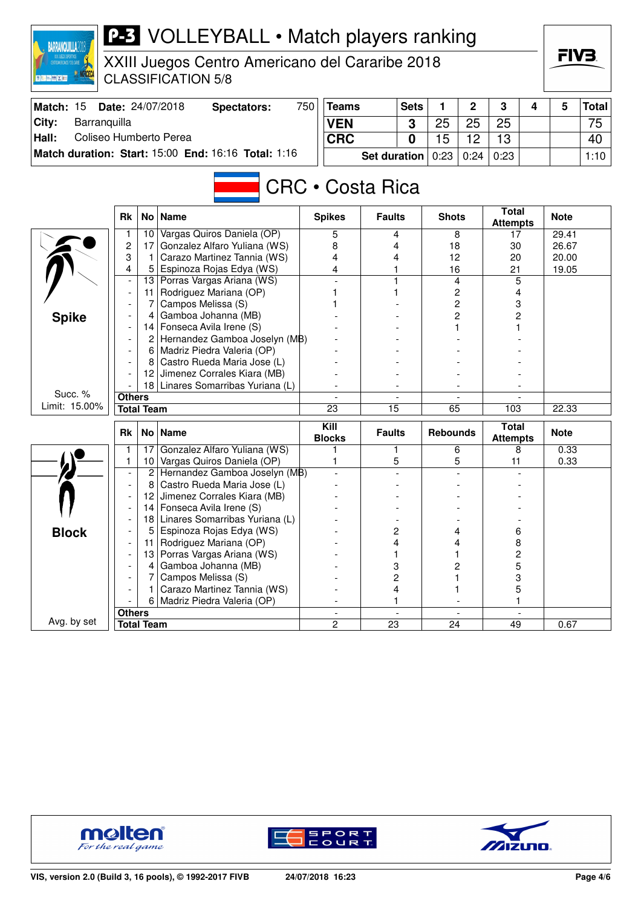| <b>P-3</b> VOLLEYBALL • Match players ranking<br><b>BARRANQUILLA2</b><br>XXIII Juegos Centro Americano del Cararibe 2018<br><b>CLASSIFICATION 5/8</b><br>■ 第十二 藤 × 第二 |                                 |                   |                                                                  |     |                       |                     |             |                 |      |                                 |   |                | FIV3.        |
|-----------------------------------------------------------------------------------------------------------------------------------------------------------------------|---------------------------------|-------------------|------------------------------------------------------------------|-----|-----------------------|---------------------|-------------|-----------------|------|---------------------------------|---|----------------|--------------|
| Match: 15                                                                                                                                                             |                                 |                   | Date: 24/07/2018<br><b>Spectators:</b>                           | 750 | <b>Teams</b>          |                     | <b>Sets</b> | 1               | 2    | 3                               | 4 | 5              | <b>Total</b> |
| City:<br>Barranquilla                                                                                                                                                 |                                 |                   |                                                                  |     | <b>VEN</b>            |                     | 3           | 25              | 25   | 25                              |   |                | 75           |
| Hall:<br>Coliseo Humberto Perea                                                                                                                                       |                                 |                   |                                                                  |     |                       |                     |             |                 |      |                                 |   |                |              |
|                                                                                                                                                                       |                                 |                   |                                                                  |     | <b>CRC</b>            |                     | 0           | 15              | 12   | 13                              |   |                | 40           |
|                                                                                                                                                                       |                                 |                   | Match duration: Start: 15:00 End: 16:16 Total: 1:16              |     |                       | <b>Set duration</b> |             | 0:23            | 0:24 | 0:23                            |   |                | 1:10         |
| <b>CRC</b> • Costa Rica                                                                                                                                               |                                 |                   |                                                                  |     |                       |                     |             |                 |      |                                 |   |                |              |
|                                                                                                                                                                       | <b>Rk</b>                       | No l              | <b>Name</b>                                                      |     | <b>Spikes</b>         | <b>Faults</b>       |             | <b>Shots</b>    |      | <b>Total</b><br><b>Attempts</b> |   | <b>Note</b>    |              |
|                                                                                                                                                                       | 1                               | 10 <sup>°</sup>   | Vargas Quiros Daniela (OP)                                       |     | 5                     | 4                   |             |                 | 8    | 17                              |   | 29.41          |              |
|                                                                                                                                                                       | $\overline{c}$                  | 17                | Gonzalez Alfaro Yuliana (WS)                                     |     | 8                     | 4                   |             | 18              |      | 30                              |   | 26.67          |              |
|                                                                                                                                                                       | 3<br>4                          | 1<br>5            | Carazo Martinez Tannia (WS)<br>Espinoza Rojas Edya (WS)          |     | 4<br>4                | 4<br>1              |             | 12<br>16        |      | 20<br>21                        |   | 20.00<br>19.05 |              |
|                                                                                                                                                                       |                                 |                   | 13 Porras Vargas Ariana (WS)                                     |     |                       |                     |             |                 | 4    | 5                               |   |                |              |
|                                                                                                                                                                       |                                 | 11                | Rodriguez Mariana (OP)                                           |     |                       |                     |             | 2<br>2          |      | 4                               |   |                |              |
|                                                                                                                                                                       |                                 |                   | Campos Melissa (S)                                               |     |                       |                     |             |                 |      | 3                               |   |                |              |
| <b>Spike</b>                                                                                                                                                          | Gamboa Johanna (MB)<br>4        |                   |                                                                  |     |                       | 2                   |             | 2               |      |                                 |   |                |              |
|                                                                                                                                                                       |                                 |                   | 14   Fonseca Avila Irene (S)                                     |     |                       |                     |             |                 |      |                                 |   |                |              |
|                                                                                                                                                                       | 2 Hernandez Gamboa Joselyn (MB) |                   |                                                                  |     |                       |                     |             |                 |      |                                 |   |                |              |
|                                                                                                                                                                       |                                 |                   | 6   Madriz Piedra Valeria (OP)                                   |     |                       |                     |             |                 |      |                                 |   |                |              |
|                                                                                                                                                                       |                                 |                   | Castro Rueda Maria Jose (L)                                      |     |                       |                     |             |                 |      |                                 |   |                |              |
|                                                                                                                                                                       |                                 | 12                | Jimenez Corrales Kiara (MB)<br>18 Linares Somarribas Yuriana (L) |     |                       |                     |             |                 |      |                                 |   |                |              |
| Succ. %                                                                                                                                                               | <b>Others</b>                   |                   |                                                                  |     |                       |                     |             |                 |      |                                 |   |                |              |
| Limit: 15.00%                                                                                                                                                         |                                 | <b>Total Team</b> |                                                                  |     | 23                    | $\overline{15}$     |             | 65              |      | 103                             |   | 22.33          |              |
|                                                                                                                                                                       |                                 |                   |                                                                  |     |                       |                     |             |                 |      |                                 |   |                |              |
|                                                                                                                                                                       | Rk                              |                   | No   Name                                                        |     | Kill<br><b>Blocks</b> | <b>Faults</b>       |             | <b>Rebounds</b> |      | <b>Total</b><br><b>Attempts</b> |   | <b>Note</b>    |              |
|                                                                                                                                                                       | $\mathbf{1}$                    |                   | 17 Gonzalez Alfaro Yuliana (WS)                                  |     | 1                     | 1                   |             |                 | 6    | 8                               |   | 0.33           |              |
|                                                                                                                                                                       | 1.                              |                   | 10 Vargas Quiros Daniela (OP)                                    |     | 1                     | 5                   |             |                 | 5    | 11                              |   | 0.33           |              |
|                                                                                                                                                                       |                                 | 8                 | 2 Hernandez Gamboa Joselyn (MB)<br>Castro Rueda Maria Jose (L)   |     |                       |                     |             |                 |      |                                 |   |                |              |
|                                                                                                                                                                       |                                 | 12                | Jimenez Corrales Kiara (MB)                                      |     |                       |                     |             |                 |      |                                 |   |                |              |
|                                                                                                                                                                       |                                 | 14                | Fonseca Avila Irene (S)                                          |     |                       |                     |             |                 |      |                                 |   |                |              |
|                                                                                                                                                                       |                                 |                   | 18 Linares Somarribas Yuriana (L)                                |     |                       |                     |             |                 |      |                                 |   |                |              |
| <b>Block</b>                                                                                                                                                          |                                 | 5                 | Espinoza Rojas Edya (WS)                                         |     |                       | 2                   |             |                 | 4    | 6                               |   |                |              |
|                                                                                                                                                                       |                                 | 11                | Rodriguez Mariana (OP)                                           |     |                       | 4                   |             |                 | 4    | 8                               |   |                |              |
|                                                                                                                                                                       |                                 |                   | 13 Porras Vargas Ariana (WS)                                     |     |                       | 1                   |             |                 | 1    | $\overline{c}$                  |   |                |              |
|                                                                                                                                                                       |                                 | 4                 | Gamboa Johanna (MB)                                              |     |                       | 3                   |             |                 | 2    | 5                               |   |                |              |
|                                                                                                                                                                       |                                 |                   | Campos Melissa (S)                                               |     |                       | 2                   |             |                 |      | 3                               |   |                |              |
|                                                                                                                                                                       |                                 |                   | Carazo Martinez Tannia (WS)                                      |     |                       | 4                   |             |                 |      | 5                               |   |                |              |
|                                                                                                                                                                       | <b>Others</b>                   | 6                 | Madriz Piedra Valeria (OP)                                       |     |                       | 1                   |             |                 |      |                                 |   |                |              |
| Avg. by set                                                                                                                                                           |                                 | <b>Total Team</b> |                                                                  |     | 2                     | 23                  |             | 24              |      | 49                              |   | 0.67           |              |
|                                                                                                                                                                       |                                 |                   |                                                                  |     |                       |                     |             |                 |      |                                 |   |                |              |





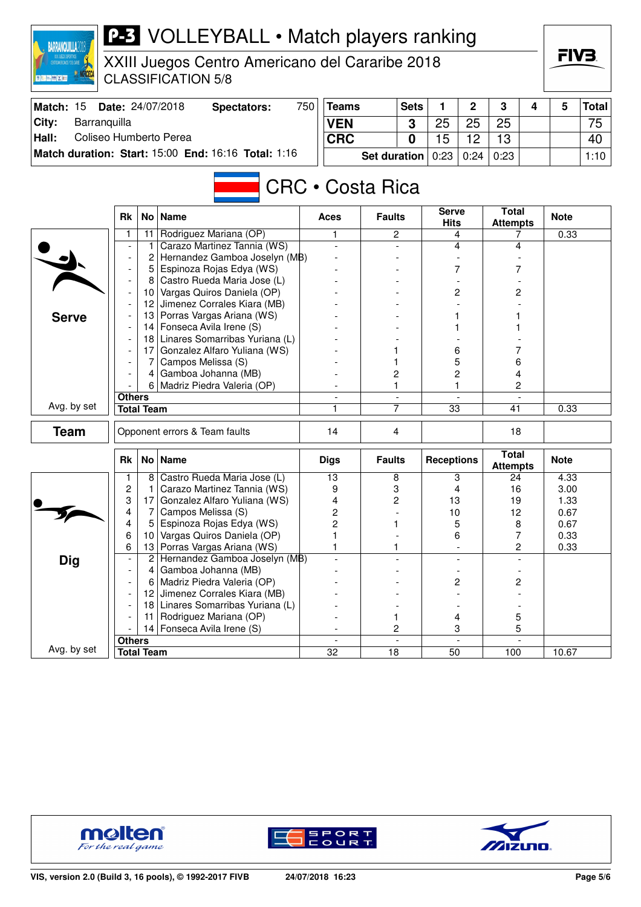| CENTROANERICANOS Y DEL CARIBE<br><b>◎ 行 百   陽 × 百</b> |                                             |                   | XXIII Juegos Centro Americano del Cararibe 2018<br><b>CLASSIFICATION 5/8</b> |     |                             |                         |                |                   |      |                                 |   |              | гі V Ә.      |
|-------------------------------------------------------|---------------------------------------------|-------------------|------------------------------------------------------------------------------|-----|-----------------------------|-------------------------|----------------|-------------------|------|---------------------------------|---|--------------|--------------|
| Match: 15                                             |                                             |                   | Date: 24/07/2018<br><b>Spectators:</b>                                       | 750 | <b>Sets</b><br><b>Teams</b> |                         |                | 1                 | 2    | 3                               | 4 | 5            | <b>Total</b> |
| City:<br>Barranquilla                                 |                                             |                   |                                                                              |     | <b>VEN</b>                  |                         | 3              | 25                | 25   | 25                              |   |              | 75           |
| Coliseo Humberto Perea<br>Hall:                       |                                             |                   |                                                                              |     | <b>CRC</b>                  |                         | $\mathbf{0}$   | 15                | 12   | 13                              |   |              | 40           |
|                                                       |                                             |                   | Match duration: Start: 15:00 End: 16:16 Total: 1:16                          |     |                             | <b>Set duration</b>     |                | 0:23              | 0:24 | 0:23                            |   |              | 1:10         |
|                                                       |                                             |                   |                                                                              |     |                             |                         |                |                   |      |                                 |   |              |              |
|                                                       |                                             |                   |                                                                              |     |                             | <b>CRC • Costa Rica</b> |                | Serve             |      | <b>Total</b>                    |   |              |              |
|                                                       | <b>Rk</b>                                   | No <sub>1</sub>   | <b>Name</b>                                                                  |     | <b>Aces</b>                 | <b>Faults</b>           |                | <b>Hits</b>       |      | <b>Attempts</b>                 |   | <b>Note</b>  |              |
|                                                       | 1                                           | 11                | Rodriguez Mariana (OP)                                                       |     | 1                           |                         | 2              |                   | 4    | 7                               |   | 0.33         |              |
|                                                       | Carazo Martinez Tannia (WS)<br>1            |                   |                                                                              |     |                             |                         |                |                   | 4    | 4                               |   |              |              |
|                                                       |                                             | 2                 | Hernandez Gamboa Joselyn (MB)                                                |     |                             |                         |                |                   |      |                                 |   |              |              |
|                                                       |                                             | 5                 | Espinoza Rojas Edya (WS)<br>Castro Rueda Maria Jose (L)                      |     |                             |                         |                |                   | 7    | 7                               |   |              |              |
|                                                       |                                             | 8<br>10           | Vargas Quiros Daniela (OP)                                                   |     |                             |                         |                |                   | 2    | 2                               |   |              |              |
|                                                       |                                             | 12                | Jimenez Corrales Kiara (MB)                                                  |     |                             |                         |                |                   |      |                                 |   |              |              |
| <b>Serve</b>                                          |                                             | 13                | Porras Vargas Ariana (WS)                                                    |     |                             |                         |                |                   |      |                                 |   |              |              |
|                                                       | Fonseca Avila Irene (S)<br>14               |                   |                                                                              |     |                             |                         |                |                   |      |                                 |   |              |              |
|                                                       | Linares Somarribas Yuriana (L)<br>181       |                   |                                                                              |     |                             |                         |                |                   |      |                                 |   |              |              |
|                                                       |                                             | 17                | Gonzalez Alfaro Yuliana (WS)                                                 |     |                             |                         |                | 6                 |      |                                 |   |              |              |
|                                                       |                                             |                   | Campos Melissa (S)                                                           |     |                             |                         |                | 5                 |      | 6                               |   |              |              |
|                                                       |                                             | 4                 | Gamboa Johanna (MB)                                                          |     |                             | 2                       |                | 2                 |      | 4                               |   |              |              |
|                                                       |                                             | 6                 | Madriz Piedra Valeria (OP)                                                   |     |                             | 1                       |                |                   | 1    | 2                               |   |              |              |
| Avg. by set                                           | <b>Others</b>                               |                   |                                                                              |     |                             |                         |                |                   |      |                                 |   |              |              |
|                                                       |                                             | <b>Total Team</b> |                                                                              |     | 1                           |                         | 7              | $\overline{33}$   |      | 41                              |   | 0.33         |              |
| <b>Team</b>                                           |                                             |                   | Opponent errors & Team faults                                                |     | 14                          | 4                       |                |                   |      | 18                              |   |              |              |
|                                                       | <b>Rk</b>                                   |                   | No   Name                                                                    |     | <b>Digs</b>                 | <b>Faults</b>           |                | <b>Receptions</b> |      | <b>Total</b><br><b>Attempts</b> |   | <b>Note</b>  |              |
|                                                       |                                             | 8                 | Castro Rueda Maria Jose (L)                                                  |     | 13                          | 8                       |                |                   | 3    | 24                              |   | 4.33         |              |
|                                                       | $\overline{c}$                              | 1                 | Carazo Martinez Tannia (WS)                                                  |     | 9                           | 3                       |                |                   | 4    | 16                              |   | 3.00         |              |
|                                                       | 3<br>4                                      | 17<br>7           | Gonzalez Alfaro Yuliana (WS)<br>Campos Melissa (S)                           |     | 4<br>2                      | 2                       |                | 13<br>10          |      | 19<br>12                        |   | 1.33<br>0.67 |              |
|                                                       | 4                                           |                   | Espinoza Rojas Edya (WS)                                                     |     | $\overline{c}$              | 1                       |                | 5                 |      | 8                               |   | 0.67         |              |
|                                                       | 6                                           | 10 <sub>1</sub>   | Vargas Quiros Daniela (OP)                                                   |     |                             |                         |                | 6                 |      | 7                               |   | 0.33         |              |
|                                                       | 6                                           | 13                | Porras Vargas Ariana (WS)                                                    |     | 1                           |                         | 1              |                   |      | $\overline{c}$                  |   | 0.33         |              |
| <b>Dig</b>                                            |                                             | $\overline{2}$    | Hernandez Gamboa Joselyn (MB)                                                |     |                             |                         |                |                   |      |                                 |   |              |              |
|                                                       |                                             | 4                 | Gamboa Johanna (MB)                                                          |     |                             |                         |                |                   |      |                                 |   |              |              |
|                                                       |                                             | 6                 | Madriz Piedra Valeria (OP)                                                   |     |                             |                         | 2              |                   |      | 2                               |   |              |              |
|                                                       |                                             | 12                | Jimenez Corrales Kiara (MB)                                                  |     |                             |                         |                |                   |      |                                 |   |              |              |
|                                                       |                                             |                   | 18 Linares Somarribas Yuriana (L)                                            |     |                             |                         |                |                   |      |                                 |   |              |              |
|                                                       |                                             | 11                | Rodriguez Mariana (OP)                                                       |     |                             | 1                       |                | 4                 |      | 5                               |   |              |              |
|                                                       | 14 Fonseca Avila Irene (S)<br><b>Others</b> |                   |                                                                              |     |                             |                         | 2              | 3                 |      | 5                               |   |              |              |
| Avg. by set                                           |                                             | <b>Total Team</b> |                                                                              |     | $\overline{32}$             | 18                      | $\overline{a}$ | 50                |      | 100                             |   | 10.67        |              |
|                                                       |                                             |                   |                                                                              |     |                             |                         |                |                   |      |                                 |   |              |              |



**BARRANQUILLA2018** 





FIV3